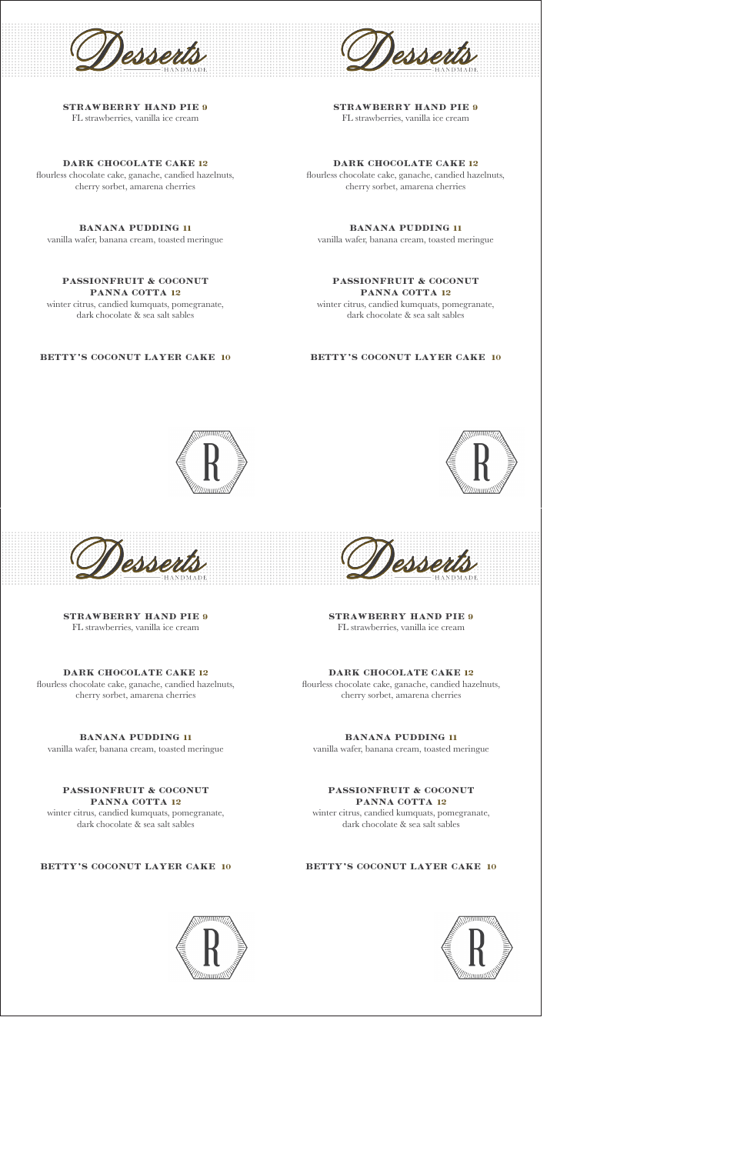

STRAWBERRY HAND PIE 9 FL strawberries, vanilla ice cream

## DARK CHOCOLATE CAKE 12

flourless chocolate cake, ganache, candied hazelnuts, cherry sorbet, amarena cherries

# BANANA PUDDING 11

vanilla wafer, banana cream, toasted meringue

# PASSIONFRUIT & COCONUT PANNA COTTA 12

winter citrus, candied kumquats, pomegranate, dark chocolate & sea salt sables

# BETTY'S COCONUT LAYER CAKE 10